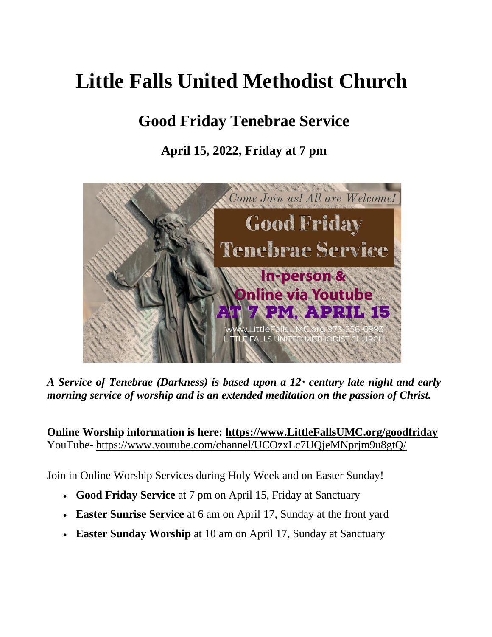# **Little Falls United Methodist Church**

## **Good Friday Tenebrae Service**

### **April 15, 2022, Friday at 7 pm**



*A Service of Tenebrae (Darkness) is based upon a 12th century late night and early morning service of worship and is an extended meditation on the passion of Christ.*

**Online Worship information is here: [https://www.LittleFallsUMC.org/goodfriday](https://www.littlefallsumc.org/goodfriday)** YouTube- <https://www.youtube.com/channel/UCOzxLc7UQjeMNprjm9u8gtQ/>

Join in Online Worship Services during Holy Week and on Easter Sunday!

- **Good Friday Service** at 7 pm on April 15, Friday at Sanctuary
- **Easter Sunrise Service** at 6 am on April 17, Sunday at the front yard
- **Easter Sunday Worship** at 10 am on April 17, Sunday at Sanctuary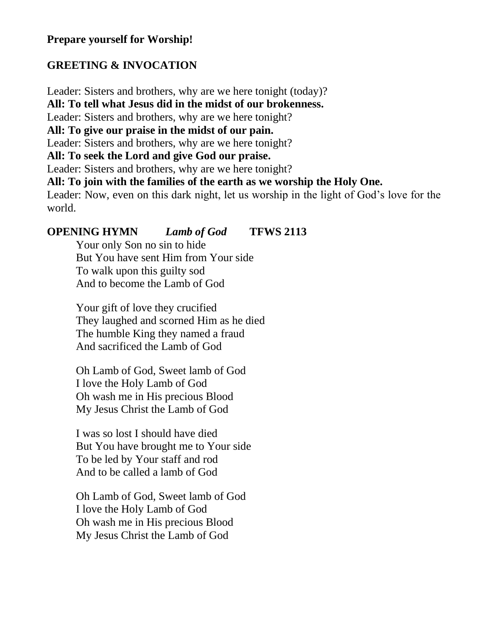#### **Prepare yourself for Worship!**

#### **GREETING & INVOCATION**

Leader: Sisters and brothers, why are we here tonight (today)? **All: To tell what Jesus did in the midst of our brokenness.** Leader: Sisters and brothers, why are we here tonight? **All: To give our praise in the midst of our pain.** Leader: Sisters and brothers, why are we here tonight? **All: To seek the Lord and give God our praise.** Leader: Sisters and brothers, why are we here tonight? **All: To join with the families of the earth as we worship the Holy One.** Leader: Now, even on this dark night, let us worship in the light of God's love for the world.

#### **OPENING HYMN** *Lamb of God* **TFWS 2113**

Your only Son no sin to hide But You have sent Him from Your side To walk upon this guilty sod And to become the Lamb of God

Your gift of love they crucified They laughed and scorned Him as he died The humble King they named a fraud And sacrificed the Lamb of God

Oh Lamb of God, Sweet lamb of God I love the Holy Lamb of God Oh wash me in His precious Blood My Jesus Christ the Lamb of God

I was so lost I should have died But You have brought me to Your side To be led by Your staff and rod And to be called a lamb of God

Oh Lamb of God, Sweet lamb of God I love the Holy Lamb of God Oh wash me in His precious Blood My Jesus Christ the Lamb of God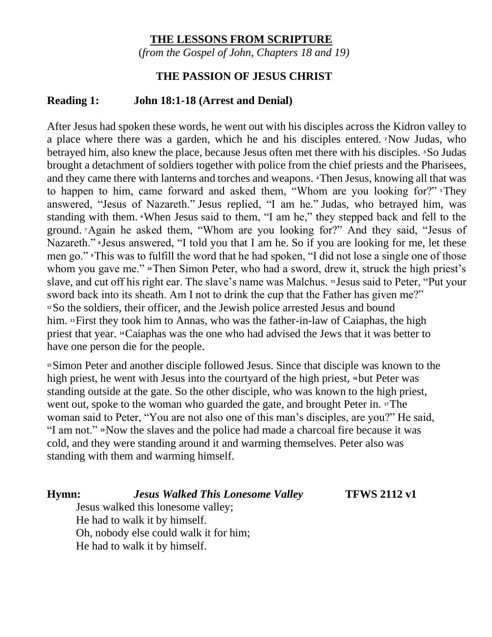#### **THE LESSONS FROM SCRIPTURE**

(*from the Gospel of John, Chapters 18 and 19)*

#### **THE PASSION OF JESUS CHRIST**

#### **Reading 1: John 18:1-18 (Arrest and Denial)**

After Jesus had spoken these words, he went out with his disciples across the Kidron valley to a place where there was a garden, which he and his disciples entered. **<sup>2</sup>**Now Judas, who betrayed him, also knew the place, because Jesus often met there with his disciples. **<sup>3</sup>**So Judas brought a detachment of soldiers together with police from the chief priests and the Pharisees, and they came there with lanterns and torches and weapons. **<sup>4</sup>**Then Jesus, knowing all that was to happen to him, came forward and asked them, "Whom are you looking for?" **<sup>5</sup>**They answered, "Jesus of Nazareth." Jesus replied, "I am he." Judas, who betrayed him, was standing with them. **<sup>6</sup>**When Jesus said to them, "I am he," they stepped back and fell to the ground. **<sup>7</sup>**Again he asked them, "Whom are you looking for?" And they said, "Jesus of Nazareth." **Besus answered, "I told you that I am he. So if you are looking for me, let these** men go." **<sup>9</sup>**This was to fulfill the word that he had spoken, "I did not lose a single one of those whom you gave me." <sup>10</sup>Then Simon Peter, who had a sword, drew it, struck the high priest's slave, and cut off his right ear. The slave's name was Malchus. **<sup>11</sup>** Jesus said to Peter, "Put your sword back into its sheath. Am I not to drink the cup that the Father has given me?" <sup>12</sup>So the soldiers, their officer, and the Jewish police arrested Jesus and bound him. **<sup>13</sup>**First they took him to Annas, who was the father-in-law of Caiaphas, the high priest that year. **<sup>14</sup>**Caiaphas was the one who had advised the Jews that it was better to have one person die for the people.

**<sup>15</sup>**Simon Peter and another disciple followed Jesus. Since that disciple was known to the high priest, he went with Jesus into the courtyard of the high priest, <sup>16</sup> but Peter was standing outside at the gate. So the other disciple, who was known to the high priest, went out, spoke to the woman who guarded the gate, and brought Peter in. **17**The woman said to Peter, "You are not also one of this man's disciples, are you?" He said, "I am not." **<sup>18</sup>**Now the slaves and the police had made a charcoal fire because it was cold, and they were standing around it and warming themselves. Peter also was standing with them and warming himself.

**Hymn:** *<i>Jesus Walked This Lonesome Valley* **TFWS 2112 v1** 

Jesus walked this lonesome valley; He had to walk it by himself. Oh, nobody else could walk it for him; He had to walk it by himself.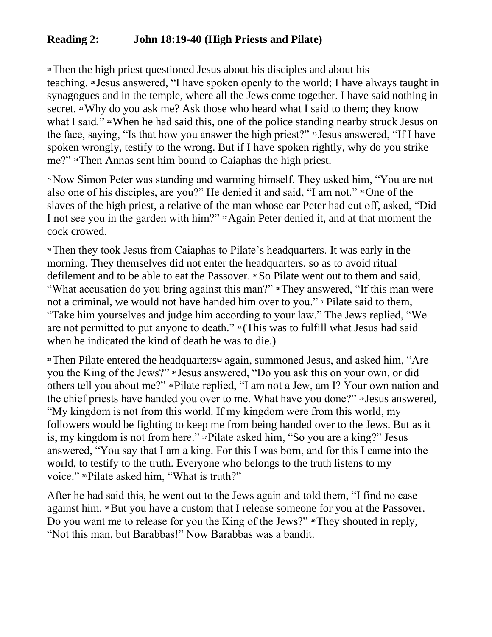#### **Reading 2: John 18:19-40 (High Priests and Pilate)**

**<sup>19</sup>**Then the high priest questioned Jesus about his disciples and about his teaching. **<sup>20</sup>** Jesus answered, "I have spoken openly to the world; I have always taught in synagogues and in the temple, where all the Jews come together. I have said nothing in secret. <sup>21</sup>Why do you ask me? Ask those who heard what I said to them; they know what I said." <sup>2</sup> When he had said this, one of the police standing nearby struck Jesus on the face, saying, "Is that how you answer the high priest?" **<sup>23</sup>** Jesus answered, "If I have spoken wrongly, testify to the wrong. But if I have spoken rightly, why do you strike me?" **<sup>24</sup>**Then Annas sent him bound to Caiaphas the high priest.

**<sup>25</sup>**Now Simon Peter was standing and warming himself. They asked him, "You are not also one of his disciples, are you?" He denied it and said, "I am not." **<sup>26</sup>**One of the slaves of the high priest, a relative of the man whose ear Peter had cut off, asked, "Did I not see you in the garden with him?" **<sup>27</sup>**Again Peter denied it, and at that moment the cock crowed.

**<sup>28</sup>**Then they took Jesus from Caiaphas to Pilate's headquarters. It was early in the morning. They themselves did not enter the headquarters, so as to avoid ritual defilement and to be able to eat the Passover. **<sup>29</sup>**So Pilate went out to them and said, "What accusation do you bring against this man?" <sup>30</sup>They answered, "If this man were not a criminal, we would not have handed him over to you." **<sup>31</sup>**Pilate said to them, "Take him yourselves and judge him according to your law." The Jews replied, "We are not permitted to put anyone to death." **<sup>32</sup>** (This was to fulfill what Jesus had said when he indicated the kind of death he was to die.)

**33**Then Pilate entered the headquarters again, summoned Jesus, and asked him, "Are you the King of the Jews?" **<sup>34</sup>** Jesus answered, "Do you ask this on your own, or did others tell you about me?" **<sup>35</sup>**Pilate replied, "I am not a Jew, am I? Your own nation and the chief priests have handed you over to me. What have you done?" **<sup>36</sup>** Jesus answered, "My kingdom is not from this world. If my kingdom were from this world, my followers would be fighting to keep me from being handed over to the Jews. But as it is, my kingdom is not from here." **<sup>37</sup>**Pilate asked him, "So you are a king?" Jesus answered, "You say that I am a king. For this I was born, and for this I came into the world, to testify to the truth. Everyone who belongs to the truth listens to my voice." **<sup>38</sup>**Pilate asked him, "What is truth?"

After he had said this, he went out to the Jews again and told them, "I find no case against him. **<sup>39</sup>**But you have a custom that I release someone for you at the Passover. Do you want me to release for you the King of the Jews?" **<sup>40</sup>**They shouted in reply, "Not this man, but Barabbas!" Now Barabbas was a bandit.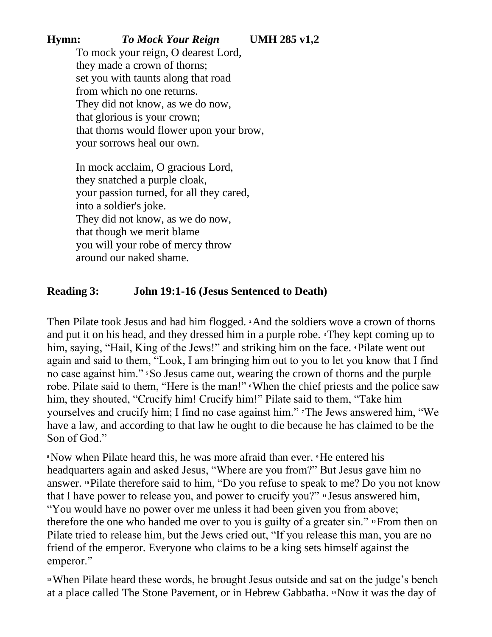**Hymn:** *To Mock Your Reign* **UMH 285 v1,2** To mock your reign, O dearest Lord, they made a crown of thorns; set you with taunts along that road from which no one returns. They did not know, as we do now, that glorious is your crown; that thorns would flower upon your brow, your sorrows heal our own.

> In mock acclaim, O gracious Lord, they snatched a purple cloak, your passion turned, for all they cared, into a soldier's joke. They did not know, as we do now, that though we merit blame you will your robe of mercy throw around our naked shame.

### **Reading 3: John 19:1-16 (Jesus Sentenced to Death)**

Then Pilate took Jesus and had him flogged. **<sup>2</sup>**And the soldiers wove a crown of thorns and put it on his head, and they dressed him in a purple robe. **<sup>3</sup>**They kept coming up to him, saying, "Hail, King of the Jews!" and striking him on the face. **<sup>4</sup>**Pilate went out again and said to them, "Look, I am bringing him out to you to let you know that I find no case against him." **<sup>5</sup>**So Jesus came out, wearing the crown of thorns and the purple robe. Pilate said to them, "Here is the man!" **<sup>6</sup>**When the chief priests and the police saw him, they shouted, "Crucify him! Crucify him!" Pilate said to them, "Take him yourselves and crucify him; I find no case against him." **<sup>7</sup>**The Jews answered him, "We have a law, and according to that law he ought to die because he has claimed to be the Son of God."

**<sup>8</sup>**Now when Pilate heard this, he was more afraid than ever. **<sup>9</sup>**He entered his headquarters again and asked Jesus, "Where are you from?" But Jesus gave him no answer. **<sup>10</sup>**Pilate therefore said to him, "Do you refuse to speak to me? Do you not know that I have power to release you, and power to crucify you?" **<sup>11</sup>** Jesus answered him, "You would have no power over me unless it had been given you from above; therefore the one who handed me over to you is guilty of a greater sin." **<sup>12</sup>**From then on Pilate tried to release him, but the Jews cried out, "If you release this man, you are no friend of the emperor. Everyone who claims to be a king sets himself against the emperor."

**<sup>13</sup>**When Pilate heard these words, he brought Jesus outside and sat on the judge's bench at a place called The Stone Pavement, or in Hebrew Gabbatha. **<sup>14</sup>**Now it was the day of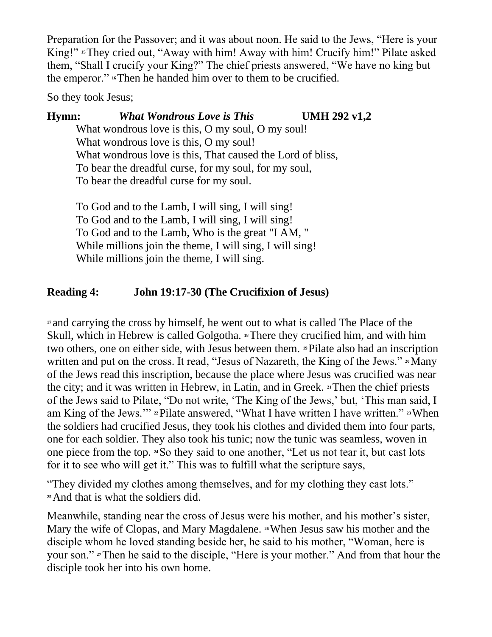Preparation for the Passover; and it was about noon. He said to the Jews, "Here is your King!" **<sup>15</sup>**They cried out, "Away with him! Away with him! Crucify him!" Pilate asked them, "Shall I crucify your King?" The chief priests answered, "We have no king but the emperor." **<sup>16</sup>Then he handed him over to them to be crucified.** 

So they took Jesus;

| <b>What Wondrous Love is This</b>                          | <b>UMH 292 v1,2</b>                               |
|------------------------------------------------------------|---------------------------------------------------|
| What wondrous love is this, O my soul, O my soul!          |                                                   |
| What wondrous love is this, O my soul!                     |                                                   |
| What wondrous love is this, That caused the Lord of bliss, |                                                   |
| To bear the dreadful curse, for my soul, for my soul,      |                                                   |
| To bear the dreadful curse for my soul.                    |                                                   |
| To God and to the Lamb, I will sing, I will sing!          |                                                   |
|                                                            | To God and to the Lamb, I will sing, I will sing! |

To God and to the Lamb, Who is the great "I AM, " While millions join the theme, I will sing, I will sing! While millions join the theme, I will sing.

#### **Reading 4: John 19:17-30 (The Crucifixion of Jesus)**

**<sup>17</sup>** and carrying the cross by himself, he went out to what is called The Place of the Skull, which in Hebrew is called Golgotha. **<sup>18</sup>**There they crucified him, and with him two others, one on either side, with Jesus between them. **<sup>19</sup>**Pilate also had an inscription written and put on the cross. It read, "Jesus of Nazareth, the King of the Jews." **<sup>20</sup>**Many of the Jews read this inscription, because the place where Jesus was crucified was near the city; and it was written in Hebrew, in Latin, and in Greek. **<sup>21</sup>**Then the chief priests of the Jews said to Pilate, "Do not write, 'The King of the Jews,' but, 'This man said, I am King of the Jews.'" **<sup>22</sup>**Pilate answered, "What I have written I have written." **<sup>23</sup>**When the soldiers had crucified Jesus, they took his clothes and divided them into four parts, one for each soldier. They also took his tunic; now the tunic was seamless, woven in one piece from the top. **<sup>24</sup>**So they said to one another, "Let us not tear it, but cast lots for it to see who will get it." This was to fulfill what the scripture says,

"They divided my clothes among themselves, and for my clothing they cast lots." **<sup>25</sup>**And that is what the soldiers did.

Meanwhile, standing near the cross of Jesus were his mother, and his mother's sister, Mary the wife of Clopas, and Mary Magdalene. **<sup>26</sup>**When Jesus saw his mother and the disciple whom he loved standing beside her, he said to his mother, "Woman, here is your son." **<sup>27</sup>**Then he said to the disciple, "Here is your mother." And from that hour the disciple took her into his own home.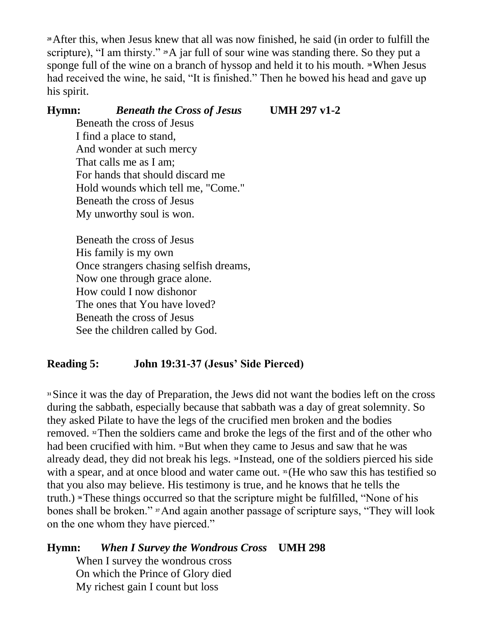**<sup>28</sup>**After this, when Jesus knew that all was now finished, he said (in order to fulfill the scripture), "I am thirsty." **<sup>29</sup>**A jar full of sour wine was standing there. So they put a sponge full of the wine on a branch of hyssop and held it to his mouth. **<sup>30</sup>**When Jesus had received the wine, he said, "It is finished." Then he bowed his head and gave up his spirit.

| Hymn:                            | <b>Beneath the Cross of Jesus</b>      | <b>UMH 297 v1-2</b> |  |  |
|----------------------------------|----------------------------------------|---------------------|--|--|
| Beneath the cross of Jesus       |                                        |                     |  |  |
|                                  | I find a place to stand,               |                     |  |  |
|                                  | And wonder at such mercy               |                     |  |  |
|                                  | That calls me as I am;                 |                     |  |  |
| For hands that should discard me |                                        |                     |  |  |
|                                  | Hold wounds which tell me, "Come."     |                     |  |  |
|                                  | Beneath the cross of Jesus             |                     |  |  |
|                                  | My unworthy soul is won.               |                     |  |  |
|                                  | Beneath the cross of Jesus             |                     |  |  |
|                                  | His family is my own                   |                     |  |  |
|                                  | Once strangers chasing selfish dreams, |                     |  |  |
| Now one through grace alone.     |                                        |                     |  |  |
| How could I now dishonor         |                                        |                     |  |  |
|                                  | The ones that You have loved?          |                     |  |  |
|                                  | Beneath the cross of Jesus             |                     |  |  |
|                                  |                                        |                     |  |  |

#### See the children called by God.

#### **Reading 5: John 19:31-37 (Jesus' Side Pierced)**

**<sup>31</sup>**Since it was the day of Preparation, the Jews did not want the bodies left on the cross during the sabbath, especially because that sabbath was a day of great solemnity. So they asked Pilate to have the legs of the crucified men broken and the bodies removed. **<sup>32</sup>**Then the soldiers came and broke the legs of the first and of the other who had been crucified with him. **<sup>33</sup>**But when they came to Jesus and saw that he was already dead, they did not break his legs. **<sup>34</sup>** Instead, one of the soldiers pierced his side with a spear, and at once blood and water came out. <sup>35</sup> (He who saw this has testified so that you also may believe. His testimony is true, and he knows that he tells the truth.) **<sup>36</sup>**These things occurred so that the scripture might be fulfilled, "None of his bones shall be broken." **<sup>37</sup>**And again another passage of scripture says, "They will look on the one whom they have pierced."

### **Hymn:** *When I Survey the Wondrous Cross* **UMH 298** When I survey the wondrous cross On which the Prince of Glory died

My richest gain I count but loss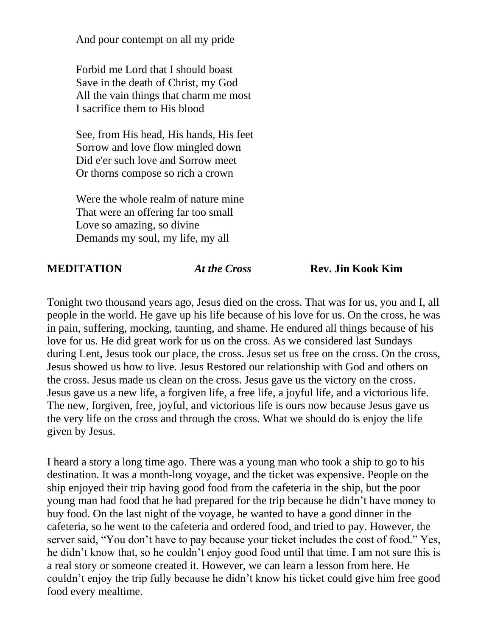And pour contempt on all my pride

Forbid me Lord that I should boast Save in the death of Christ, my God All the vain things that charm me most I sacrifice them to His blood

See, from His head, His hands, His feet Sorrow and love flow mingled down Did e'er such love and Sorrow meet Or thorns compose so rich a crown

Were the whole realm of nature mine That were an offering far too small Love so amazing, so divine Demands my soul, my life, my all

**MEDITATION** *At the Cross* **Rev. Jin Kook Kim**

Tonight two thousand years ago, Jesus died on the cross. That was for us, you and I, all people in the world. He gave up his life because of his love for us. On the cross, he was in pain, suffering, mocking, taunting, and shame. He endured all things because of his love for us. He did great work for us on the cross. As we considered last Sundays during Lent, Jesus took our place, the cross. Jesus set us free on the cross. On the cross, Jesus showed us how to live. Jesus Restored our relationship with God and others on the cross. Jesus made us clean on the cross. Jesus gave us the victory on the cross. Jesus gave us a new life, a forgiven life, a free life, a joyful life, and a victorious life. The new, forgiven, free, joyful, and victorious life is ours now because Jesus gave us the very life on the cross and through the cross. What we should do is enjoy the life given by Jesus.

I heard a story a long time ago. There was a young man who took a ship to go to his destination. It was a month-long voyage, and the ticket was expensive. People on the ship enjoyed their trip having good food from the cafeteria in the ship, but the poor young man had food that he had prepared for the trip because he didn't have money to buy food. On the last night of the voyage, he wanted to have a good dinner in the cafeteria, so he went to the cafeteria and ordered food, and tried to pay. However, the server said, "You don't have to pay because your ticket includes the cost of food." Yes, he didn't know that, so he couldn't enjoy good food until that time. I am not sure this is a real story or someone created it. However, we can learn a lesson from here. He couldn't enjoy the trip fully because he didn't know his ticket could give him free good food every mealtime.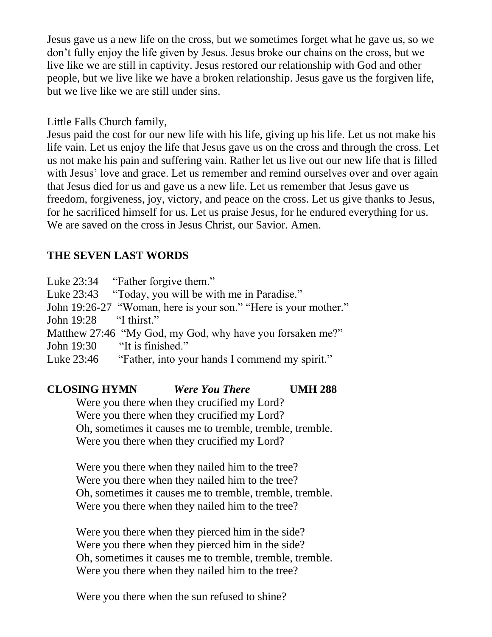Jesus gave us a new life on the cross, but we sometimes forget what he gave us, so we don't fully enjoy the life given by Jesus. Jesus broke our chains on the cross, but we live like we are still in captivity. Jesus restored our relationship with God and other people, but we live like we have a broken relationship. Jesus gave us the forgiven life, but we live like we are still under sins.

Little Falls Church family,

Jesus paid the cost for our new life with his life, giving up his life. Let us not make his life vain. Let us enjoy the life that Jesus gave us on the cross and through the cross. Let us not make his pain and suffering vain. Rather let us live out our new life that is filled with Jesus' love and grace. Let us remember and remind ourselves over and over again that Jesus died for us and gave us a new life. Let us remember that Jesus gave us freedom, forgiveness, joy, victory, and peace on the cross. Let us give thanks to Jesus, for he sacrificed himself for us. Let us praise Jesus, for he endured everything for us. We are saved on the cross in Jesus Christ, our Savior. Amen.

#### **THE SEVEN LAST WORDS**

|                        | Luke 23:34 "Father forgive them."                               |
|------------------------|-----------------------------------------------------------------|
|                        | Luke 23:43 "Today, you will be with me in Paradise."            |
|                        | John 19:26-27 "Woman, here is your son." "Here is your mother." |
| John 19:28 "I thirst." |                                                                 |
|                        | Matthew 27:46 "My God, my God, why have you forsaken me?"       |
| John 19:30             | "It is finished."                                               |
|                        | Luke 23:46 "Father, into your hands I commend my spirit."       |
|                        |                                                                 |

#### **CLOSING HYMN** *Were You There* **UMH 288**

Were you there when they crucified my Lord? Were you there when they crucified my Lord? Oh, sometimes it causes me to tremble, tremble, tremble. Were you there when they crucified my Lord?

Were you there when they nailed him to the tree? Were you there when they nailed him to the tree? Oh, sometimes it causes me to tremble, tremble, tremble. Were you there when they nailed him to the tree?

Were you there when they pierced him in the side? Were you there when they pierced him in the side? Oh, sometimes it causes me to tremble, tremble, tremble. Were you there when they nailed him to the tree?

Were you there when the sun refused to shine?